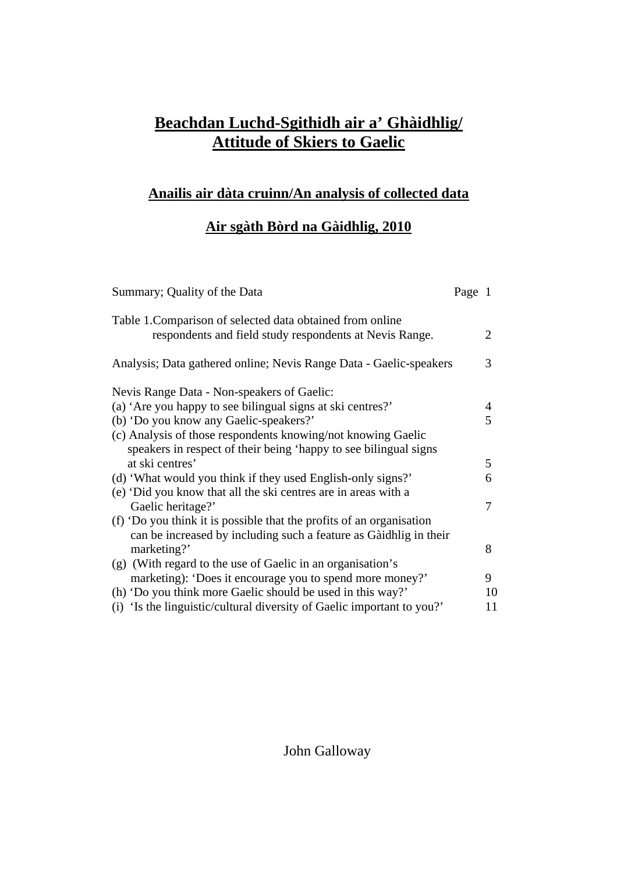# **Beachdan Luchd-Sgithidh air a' Ghàidhlig/ Attitude of Skiers to Gaelic**

# **Anailis air dàta cruinn/An analysis of collected data**

## **Air sgàth Bòrd na Gàidhlig, 2010**

| Summary; Quality of the Data                                                                                                              | Page 1 |    |
|-------------------------------------------------------------------------------------------------------------------------------------------|--------|----|
| Table 1. Comparison of selected data obtained from online<br>respondents and field study respondents at Nevis Range.                      |        | 2  |
| Analysis; Data gathered online; Nevis Range Data - Gaelic-speakers                                                                        |        | 3  |
| Nevis Range Data - Non-speakers of Gaelic:                                                                                                |        |    |
| (a) 'Are you happy to see bilingual signs at ski centres?'                                                                                |        | 4  |
| (b) 'Do you know any Gaelic-speakers?'                                                                                                    |        | 5  |
| (c) Analysis of those respondents knowing/not knowing Gaelic                                                                              |        |    |
| speakers in respect of their being 'happy to see bilingual signs                                                                          |        |    |
| at ski centres'                                                                                                                           |        | 5  |
| (d) 'What would you think if they used English-only signs?'                                                                               |        | 6  |
| (e) 'Did you know that all the ski centres are in areas with a                                                                            |        |    |
| Gaelic heritage?'                                                                                                                         |        | 7  |
| (f) 'Do you think it is possible that the profits of an organisation<br>can be increased by including such a feature as Gàidhlig in their |        |    |
| marketing?'                                                                                                                               |        | 8  |
| (g) (With regard to the use of Gaelic in an organisation's                                                                                |        |    |
| marketing): 'Does it encourage you to spend more money?'                                                                                  |        | 9  |
| (h) 'Do you think more Gaelic should be used in this way?'                                                                                |        | 10 |
| (i) 'Is the linguistic/cultural diversity of Gaelic important to you?'                                                                    |        | 11 |

# John Galloway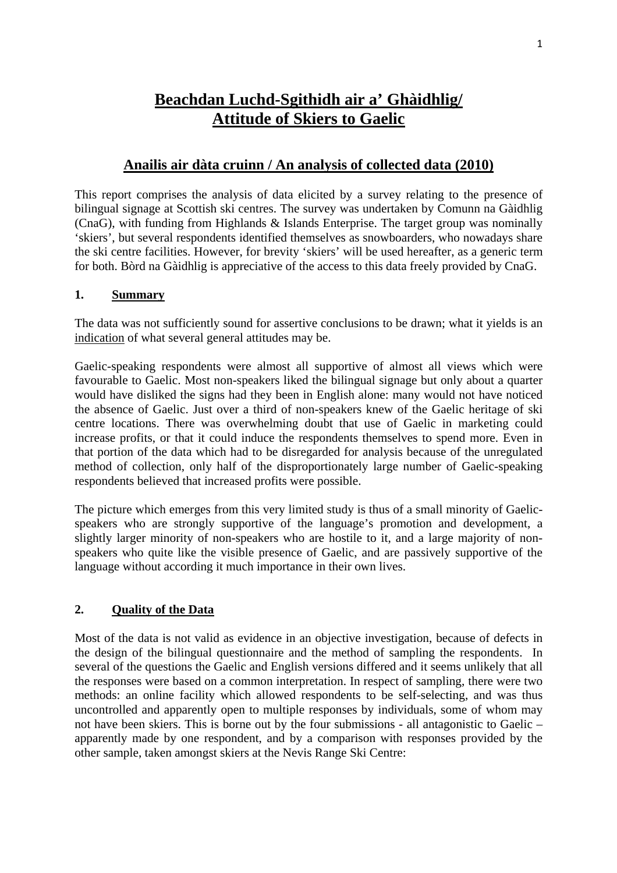# **Beachdan Luchd-Sgithidh air a' Ghàidhlig/ Attitude of Skiers to Gaelic**

## **Anailis air dàta cruinn / An analysis of collected data (2010)**

This report comprises the analysis of data elicited by a survey relating to the presence of bilingual signage at Scottish ski centres. The survey was undertaken by Comunn na Gàidhlig (CnaG), with funding from Highlands & Islands Enterprise. The target group was nominally 'skiers', but several respondents identified themselves as snowboarders, who nowadays share the ski centre facilities. However, for brevity 'skiers' will be used hereafter, as a generic term for both. Bòrd na Gàidhlig is appreciative of the access to this data freely provided by CnaG.

### **1. Summary**

The data was not sufficiently sound for assertive conclusions to be drawn; what it yields is an indication of what several general attitudes may be.

Gaelic-speaking respondents were almost all supportive of almost all views which were favourable to Gaelic. Most non-speakers liked the bilingual signage but only about a quarter would have disliked the signs had they been in English alone: many would not have noticed the absence of Gaelic. Just over a third of non-speakers knew of the Gaelic heritage of ski centre locations. There was overwhelming doubt that use of Gaelic in marketing could increase profits, or that it could induce the respondents themselves to spend more. Even in that portion of the data which had to be disregarded for analysis because of the unregulated method of collection, only half of the disproportionately large number of Gaelic-speaking respondents believed that increased profits were possible.

The picture which emerges from this very limited study is thus of a small minority of Gaelicspeakers who are strongly supportive of the language's promotion and development, a slightly larger minority of non-speakers who are hostile to it, and a large majority of nonspeakers who quite like the visible presence of Gaelic, and are passively supportive of the language without according it much importance in their own lives.

### **2. Quality of the Data**

Most of the data is not valid as evidence in an objective investigation, because of defects in the design of the bilingual questionnaire and the method of sampling the respondents. In several of the questions the Gaelic and English versions differed and it seems unlikely that all the responses were based on a common interpretation. In respect of sampling, there were two methods: an online facility which allowed respondents to be self-selecting, and was thus uncontrolled and apparently open to multiple responses by individuals, some of whom may not have been skiers. This is borne out by the four submissions - all antagonistic to Gaelic – apparently made by one respondent, and by a comparison with responses provided by the other sample, taken amongst skiers at the Nevis Range Ski Centre: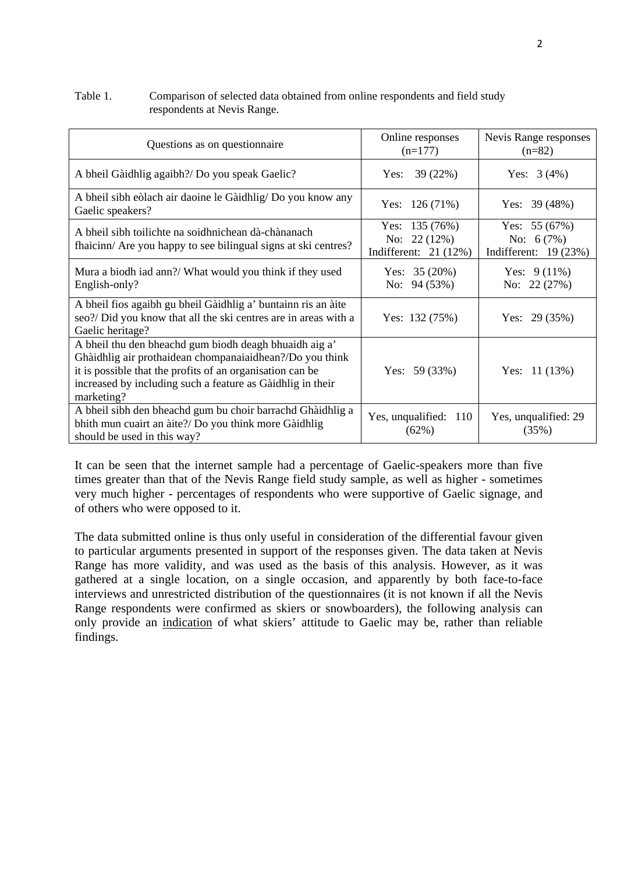#### Table 1. Comparison of selected data obtained from online respondents and field study respondents at Nevis Range.

| Questions as on questionnaire                                                                                                                                                                                                                               | Online responses<br>$(n=177)$                              | Nevis Range responses<br>$(n=82)$                       |
|-------------------------------------------------------------------------------------------------------------------------------------------------------------------------------------------------------------------------------------------------------------|------------------------------------------------------------|---------------------------------------------------------|
| A bheil Gàidhlig agaibh?/ Do you speak Gaelic?                                                                                                                                                                                                              | 39 (22%)<br>Yes:                                           | Yes: $3(4%)$                                            |
| A bheil sibh eòlach air daoine le Gàidhlig/ Do you know any<br>Gaelic speakers?                                                                                                                                                                             | Yes: $126(71%)$                                            | Yes: $39(48%)$                                          |
| A bheil sibh toilichte na soidhnichean dà-chànanach<br>fhaicinn/ Are you happy to see bilingual signs at ski centres?                                                                                                                                       | Yes: $135(76%)$<br>No: $22(12%)$<br>Indifferent: $21(12%)$ | Yes: $55(67%)$<br>No: $6(7%)$<br>Indifferent: $19(23%)$ |
| Mura a biodh iad ann?/ What would you think if they used<br>English-only?                                                                                                                                                                                   | Yes: $35(20%)$<br>No: $94(53%)$                            | Yes: $9(11\%)$<br>No: $22(27%)$                         |
| A bheil fios agaibh gu bheil Gàidhlig a' buntainn ris an àite<br>seo?/ Did you know that all the ski centres are in areas with a<br>Gaelic heritage?                                                                                                        | Yes: $132(75%)$                                            | Yes: $29(35%)$                                          |
| A bheil thu den bheachd gum biodh deagh bhuaidh aig a'<br>Ghàidhlig air prothaidean chompanaiaidhean?/Do you think<br>it is possible that the profits of an organisation can be<br>increased by including such a feature as Gàidhlig in their<br>marketing? | Yes: $59(33%)$                                             | Yes: 11 (13%)                                           |
| A bheil sibh den bheachd gum bu choir barrachd Ghàidhlig a<br>bhith mun cuairt an àite?/ Do you think more Gàidhlig<br>should be used in this way?                                                                                                          | Yes, unqualified: 110<br>(62%)                             | Yes, unqualified: 29<br>(35%)                           |

It can be seen that the internet sample had a percentage of Gaelic-speakers more than five times greater than that of the Nevis Range field study sample, as well as higher - sometimes very much higher - percentages of respondents who were supportive of Gaelic signage, and of others who were opposed to it.

The data submitted online is thus only useful in consideration of the differential favour given to particular arguments presented in support of the responses given. The data taken at Nevis Range has more validity, and was used as the basis of this analysis. However, as it was gathered at a single location, on a single occasion, and apparently by both face-to-face interviews and unrestricted distribution of the questionnaires (it is not known if all the Nevis Range respondents were confirmed as skiers or snowboarders), the following analysis can only provide an indication of what skiers' attitude to Gaelic may be, rather than reliable findings.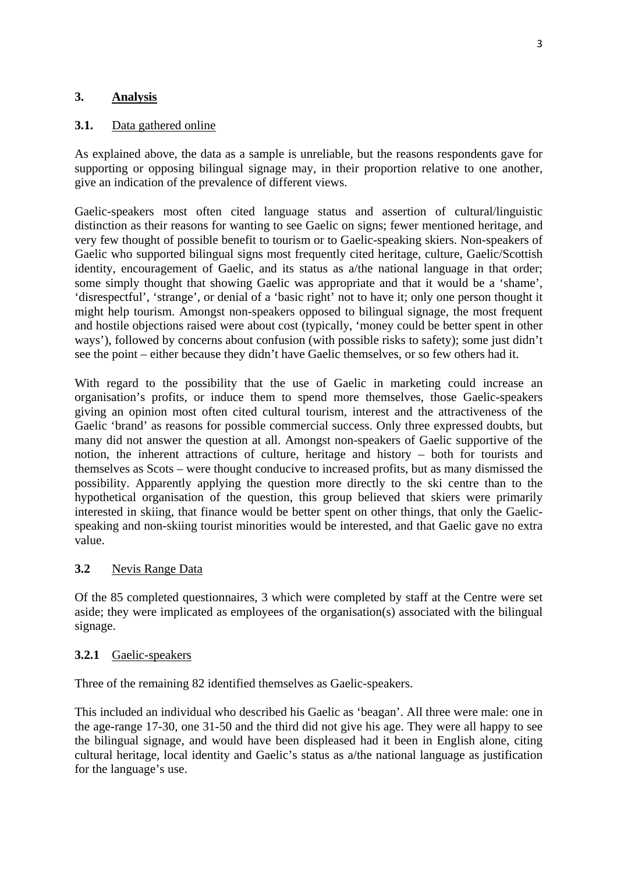### **3. Analysis**

### **3.1.** Data gathered online

As explained above, the data as a sample is unreliable, but the reasons respondents gave for supporting or opposing bilingual signage may, in their proportion relative to one another, give an indication of the prevalence of different views.

Gaelic-speakers most often cited language status and assertion of cultural/linguistic distinction as their reasons for wanting to see Gaelic on signs; fewer mentioned heritage, and very few thought of possible benefit to tourism or to Gaelic-speaking skiers. Non-speakers of Gaelic who supported bilingual signs most frequently cited heritage, culture, Gaelic/Scottish identity, encouragement of Gaelic, and its status as a/the national language in that order; some simply thought that showing Gaelic was appropriate and that it would be a 'shame', 'disrespectful', 'strange', or denial of a 'basic right' not to have it; only one person thought it might help tourism. Amongst non-speakers opposed to bilingual signage, the most frequent and hostile objections raised were about cost (typically, 'money could be better spent in other ways'), followed by concerns about confusion (with possible risks to safety); some just didn't see the point – either because they didn't have Gaelic themselves, or so few others had it.

With regard to the possibility that the use of Gaelic in marketing could increase an organisation's profits, or induce them to spend more themselves, those Gaelic-speakers giving an opinion most often cited cultural tourism, interest and the attractiveness of the Gaelic 'brand' as reasons for possible commercial success. Only three expressed doubts, but many did not answer the question at all. Amongst non-speakers of Gaelic supportive of the notion, the inherent attractions of culture, heritage and history – both for tourists and themselves as Scots – were thought conducive to increased profits, but as many dismissed the possibility. Apparently applying the question more directly to the ski centre than to the hypothetical organisation of the question, this group believed that skiers were primarily interested in skiing, that finance would be better spent on other things, that only the Gaelicspeaking and non-skiing tourist minorities would be interested, and that Gaelic gave no extra value.

### **3.2** Nevis Range Data

Of the 85 completed questionnaires, 3 which were completed by staff at the Centre were set aside; they were implicated as employees of the organisation(s) associated with the bilingual signage.

#### **3.2.1** Gaelic-speakers

Three of the remaining 82 identified themselves as Gaelic-speakers.

This included an individual who described his Gaelic as 'beagan'. All three were male: one in the age-range 17-30, one 31-50 and the third did not give his age. They were all happy to see the bilingual signage, and would have been displeased had it been in English alone, citing cultural heritage, local identity and Gaelic's status as a/the national language as justification for the language's use.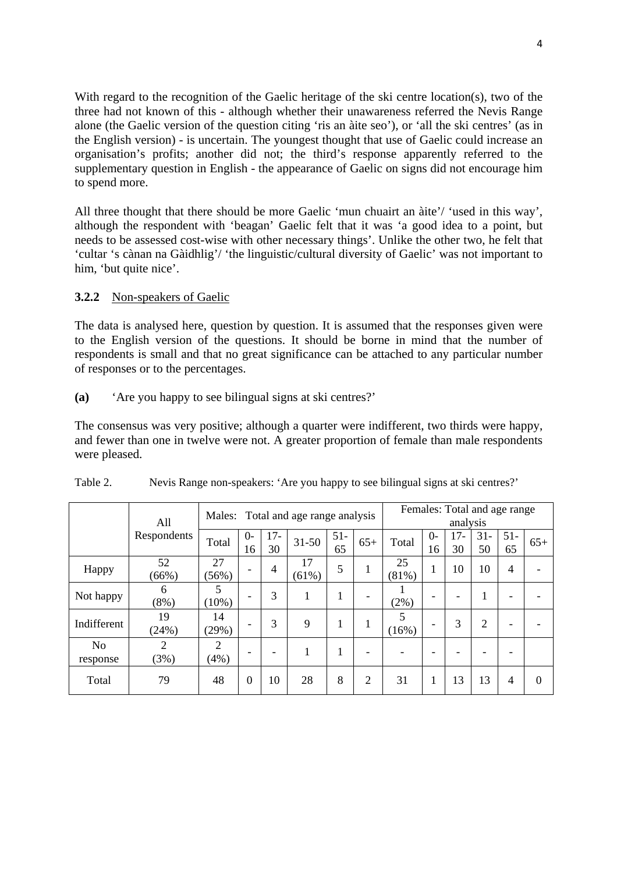With regard to the recognition of the Gaelic heritage of the ski centre location(s), two of the three had not known of this - although whether their unawareness referred the Nevis Range alone (the Gaelic version of the question citing 'ris an àite seo'), or 'all the ski centres' (as in the English version) - is uncertain. The youngest thought that use of Gaelic could increase an organisation's profits; another did not; the third's response apparently referred to the supplementary question in English - the appearance of Gaelic on signs did not encourage him to spend more.

All three thought that there should be more Gaelic 'mun chuairt an àite'/ 'used in this way', although the respondent with 'beagan' Gaelic felt that it was 'a good idea to a point, but needs to be assessed cost-wise with other necessary things'. Unlike the other two, he felt that 'cultar 's cànan na Gàidhlig'/ 'the linguistic/cultural diversity of Gaelic' was not important to him, 'but quite nice'.

### **3.2.2** Non-speakers of Gaelic

The data is analysed here, question by question. It is assumed that the responses given were to the English version of the questions. It should be borne in mind that the number of respondents is small and that no great significance can be attached to any particular number of responses or to the percentages.

## **(a)** 'Are you happy to see bilingual signs at ski centres?'

The consensus was very positive; although a quarter were indifferent, two thirds were happy, and fewer than one in twelve were not. A greater proportion of female than male respondents were pleased.

|                            | All          |                        |            |              | Males: Total and age range analysis |              |       | Females: Total and age range<br>analysis |                          |             |                |                |          |  |
|----------------------------|--------------|------------------------|------------|--------------|-------------------------------------|--------------|-------|------------------------------------------|--------------------------|-------------|----------------|----------------|----------|--|
|                            | Respondents  | Total                  | $0-$<br>16 | $17 -$<br>30 | $31 - 50$                           | $51 -$<br>65 | $65+$ | Total                                    | $\Omega$<br>16           | $17-$<br>30 | $31 -$<br>50   | $51-$<br>65    | $65+$    |  |
| Happy                      | 52<br>(66%)  | 27<br>(56%)            |            | 4            | 17<br>(61%)                         | 5            | 1     | 25<br>(81%)                              | 1                        | 10          | 10             | $\overline{4}$ |          |  |
| Not happy                  | 6<br>$(8\%)$ | 5<br>$(10\%)$          |            | 3            |                                     | 1            |       | $(2\%)$                                  |                          |             |                |                |          |  |
| Indifferent                | 19<br>(24%)  | 14<br>(29%)            |            | 3            | 9                                   |              |       | 5<br>(16%)                               | ۰                        | 3           | $\overline{2}$ |                |          |  |
| N <sub>o</sub><br>response | 2<br>(3%)    | $\overline{2}$<br>(4%) |            |              |                                     |              |       |                                          | $\overline{\phantom{0}}$ |             |                |                |          |  |
| Total                      | 79           | 48                     | $\Omega$   | 10           | 28                                  | 8            | 2     | 31                                       | л.                       | 13          | 13             | 4              | $\theta$ |  |

| Table 2. |  | Nevis Range non-speakers: 'Are you happy to see bilingual signs at ski centres?' |
|----------|--|----------------------------------------------------------------------------------|
|          |  |                                                                                  |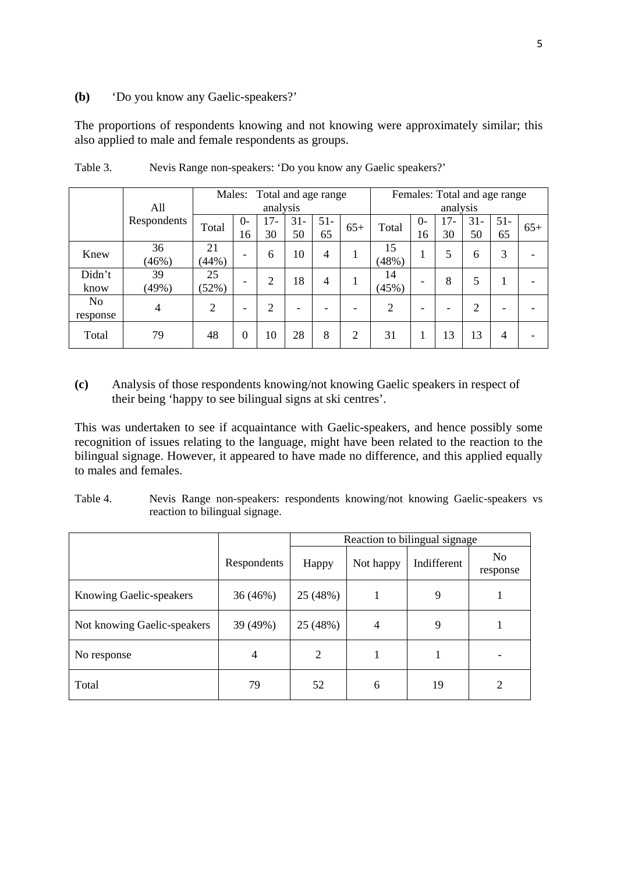#### **(b)** 'Do you know any Gaelic-speakers?'

The proportions of respondents knowing and not knowing were approximately similar; this also applied to male and female respondents as groups.

|                            |                |                |          | Males: Total and age range |        |        |       | Females: Total and age range |      |          |                |        |       |
|----------------------------|----------------|----------------|----------|----------------------------|--------|--------|-------|------------------------------|------|----------|----------------|--------|-------|
|                            | All            |                |          | analysis                   |        |        |       |                              |      | analysis |                |        |       |
|                            | Respondents    | Total          | $0-$     | 17-                        | $31 -$ | $51 -$ |       | Total                        | $O-$ | $17 -$   | $31 -$         | $51 -$ |       |
|                            |                |                | 16       | 30                         | 50     | 65     | $65+$ |                              | 16   | 30       | 50             | 65     | $65+$ |
| Knew                       | 36<br>(46%)    | 21<br>(44%)    | ۰        | 6                          | 10     | 4      |       | 15<br>(48%)                  | 1    |          | 6              | 3      |       |
| Didn't<br>know             | 39<br>(49%)    | 25<br>(52%)    | ۰        | っ                          | 18     | 4      |       | 14<br>(45%)                  |      | 8        | 5              |        |       |
| N <sub>0</sub><br>response | $\overline{4}$ | $\overline{c}$ | ۰        | $\overline{2}$             |        |        | ٠     | 2                            |      |          | $\overline{2}$ |        |       |
| Total                      | 79             | 48             | $\theta$ | 10                         | 28     | 8      | 2     | 31                           |      | 13       | 13             | 4      |       |

Table 3. Nevis Range non-speakers: 'Do you know any Gaelic speakers?'

**(c)** Analysis of those respondents knowing/not knowing Gaelic speakers in respect of their being 'happy to see bilingual signs at ski centres'.

This was undertaken to see if acquaintance with Gaelic-speakers, and hence possibly some recognition of issues relating to the language, might have been related to the reaction to the bilingual signage. However, it appeared to have made no difference, and this applied equally to males and females.

Table 4. Nevis Range non-speakers: respondents knowing/not knowing Gaelic-speakers vs reaction to bilingual signage.

|                                |             |                |                | Reaction to bilingual signage |                |
|--------------------------------|-------------|----------------|----------------|-------------------------------|----------------|
|                                | Respondents | Happy          | Not happy      | Indifferent                   | No<br>response |
| <b>Knowing Gaelic-speakers</b> | 36(46%)     | 25 (48%)       |                | 9                             |                |
| Not knowing Gaelic-speakers    | 39 (49%)    | 25 (48%)       | $\overline{4}$ | 9                             |                |
| No response                    | 4           | $\overline{2}$ | 1              |                               |                |
| Total                          | 79          | 52             | 6              | 19                            | $\overline{2}$ |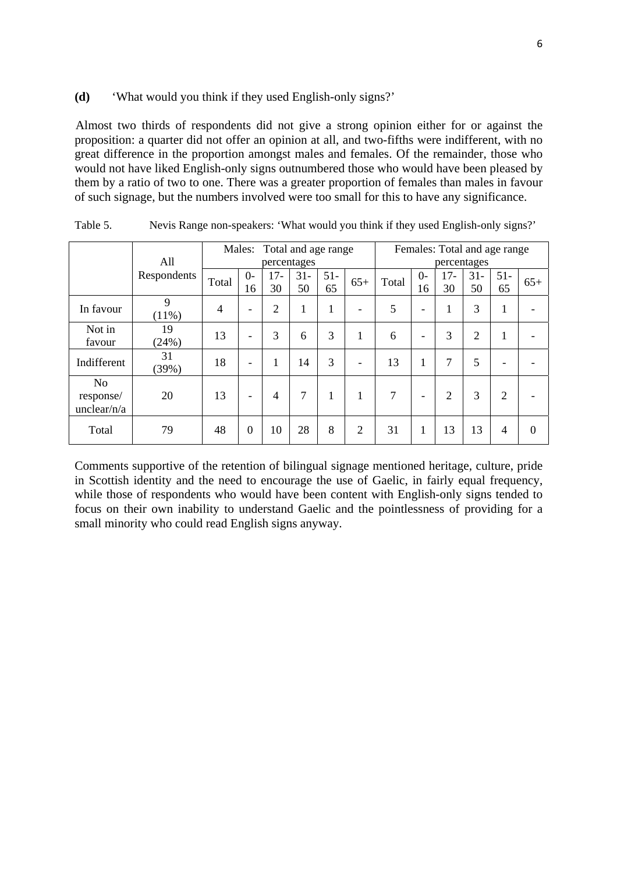#### **(d)** 'What would you think if they used English-only signs?'

Almost two thirds of respondents did not give a strong opinion either for or against the proposition: a quarter did not offer an opinion at all, and two-fifths were indifferent, with no great difference in the proportion amongst males and females. Of the remainder, those who would not have liked English-only signs outnumbered those who would have been pleased by them by a ratio of two to one. There was a greater proportion of females than males in favour of such signage, but the numbers involved were too small for this to have any significance.

|                |             | Males: Total and age range |                          |                |        |              |                          |       |                          |                | Females: Total and age range |                          |       |
|----------------|-------------|----------------------------|--------------------------|----------------|--------|--------------|--------------------------|-------|--------------------------|----------------|------------------------------|--------------------------|-------|
|                | All         |                            |                          | percentages    |        |              |                          |       |                          | percentages    |                              |                          |       |
|                | Respondents | Total                      | $\Omega$                 | 17-            | $31 -$ | $51 -$       | $65+$                    | Total | $0 -$                    | $17-$          | $31 -$                       | $51 -$                   | $65+$ |
|                |             |                            | 16                       | 30             | 50     | 65           |                          |       | 16                       | 30             | 50                           | 65                       |       |
| In favour      | 9           | $\overline{4}$             | $\overline{\phantom{a}}$ | $\overline{2}$ | 1      | 1            | $\overline{\phantom{a}}$ | 5     | $\overline{\phantom{a}}$ | 1              | 3                            | 1                        |       |
|                | $(11\%)$    |                            |                          |                |        |              |                          |       |                          |                |                              |                          |       |
| Not in         | 19          | 13                         | $\overline{\phantom{a}}$ | 3              | 6      | 3            | 1                        | 6     | $\overline{\phantom{0}}$ | 3              | $\overline{2}$               | $\mathbf{1}$             |       |
| favour         | (24%)       |                            |                          |                |        |              |                          |       |                          |                |                              |                          |       |
| Indifferent    | 31<br>(39%) | 18                         | -                        | 1              | 14     | 3            | $\overline{\phantom{0}}$ | 13    | 1                        | 7              | 5                            | $\overline{\phantom{0}}$ |       |
| N <sub>o</sub> |             |                            |                          |                |        |              |                          |       |                          |                |                              |                          |       |
| response/      | 20          | 13                         | ۰                        | 4              | 7      | $\mathbf{I}$ | 1                        | 7     | -                        | $\overline{2}$ | 3                            | $\overline{2}$           |       |
| unclear/ $n/a$ |             |                            |                          |                |        |              |                          |       |                          |                |                              |                          |       |
| Total          | 79          | 48                         | $\overline{0}$           | 10             | 28     | 8            | $\overline{2}$           | 31    | 1                        | 13             | 13                           | 4                        | 0     |

Table 5. Nevis Range non-speakers: 'What would you think if they used English-only signs?'

Comments supportive of the retention of bilingual signage mentioned heritage, culture, pride in Scottish identity and the need to encourage the use of Gaelic, in fairly equal frequency, while those of respondents who would have been content with English-only signs tended to focus on their own inability to understand Gaelic and the pointlessness of providing for a small minority who could read English signs anyway.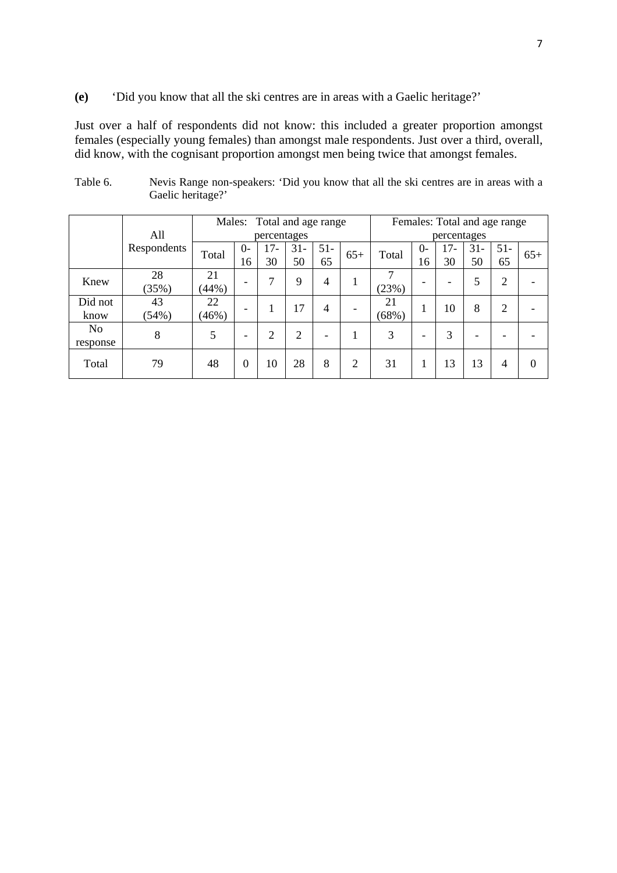**(e)** 'Did you know that all the ski centres are in areas with a Gaelic heritage?'

Just over a half of respondents did not know: this included a greater proportion amongst females (especially young females) than amongst male respondents. Just over a third, overall, did know, with the cognisant proportion amongst men being twice that amongst females.

|                 | All         | Males:      |                          | Total and age range<br>percentages |              |              |                          | Females: Total and age range<br>percentages |                          |           |              |                |          |
|-----------------|-------------|-------------|--------------------------|------------------------------------|--------------|--------------|--------------------------|---------------------------------------------|--------------------------|-----------|--------------|----------------|----------|
|                 | Respondents | Total       | $0-$<br>16               | 17-<br>30                          | $31 -$<br>50 | $51 -$<br>65 | $65+$                    | Total                                       | $O-$<br>16               | 17-<br>30 | $31 -$<br>50 | $51 -$<br>65   | $65+$    |
| Knew            | 28<br>(35%) | 21<br>(44%) | $\overline{\phantom{0}}$ | 7                                  | $\mathbf Q$  | 4            | 1                        | 7<br>(23%)                                  |                          |           | 5            | $\overline{2}$ |          |
| Did not<br>know | 43<br>(54%) | 22<br>(46%) | ۰                        |                                    | 17           | 4            | $\overline{\phantom{a}}$ | 21<br>(68%)                                 | 1                        | 10        | 8            | $\overline{2}$ |          |
| No<br>response  | 8           | 5           | $\overline{\phantom{0}}$ | $\overline{2}$                     | 2            | ۰            |                          | 3                                           | $\overline{\phantom{0}}$ | 3         | ۰            |                |          |
| Total           | 79          | 48          | 0                        | 10                                 | 28           | 8            | $\overline{2}$           | 31                                          |                          | 13        | 13           | 4              | $\Omega$ |

Table 6. Nevis Range non-speakers: 'Did you know that all the ski centres are in areas with a Gaelic heritage?'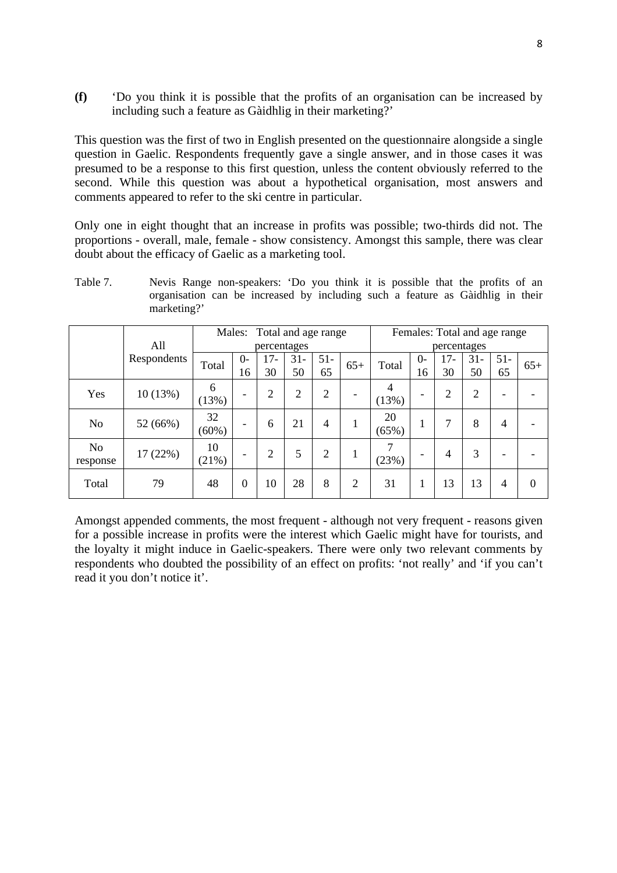**(f)** 'Do you think it is possible that the profits of an organisation can be increased by including such a feature as Gàidhlig in their marketing?'

This question was the first of two in English presented on the questionnaire alongside a single question in Gaelic. Respondents frequently gave a single answer, and in those cases it was presumed to be a response to this first question, unless the content obviously referred to the second. While this question was about a hypothetical organisation, most answers and comments appeared to refer to the ski centre in particular.

Only one in eight thought that an increase in profits was possible; two-thirds did not. The proportions - overall, male, female - show consistency. Amongst this sample, there was clear doubt about the efficacy of Gaelic as a marketing tool.

Table 7. Nevis Range non-speakers: 'Do you think it is possible that the profits of an organisation can be increased by including such a feature as Gàidhlig in their marketing?'

|                            |             |                | Males:                   |                | Total and age range |                |                          |             |                |             | Females: Total and age range |              |          |
|----------------------------|-------------|----------------|--------------------------|----------------|---------------------|----------------|--------------------------|-------------|----------------|-------------|------------------------------|--------------|----------|
|                            | All         |                | percentages              |                |                     |                |                          |             |                | percentages |                              |              |          |
|                            | Respondents | Total          | $O -$<br>16              | $17-$<br>30    | $31 -$<br>50        | $51-$<br>65    | $65+$                    | Total       | $\Omega$<br>16 | $17-$<br>30 | $31 -$<br>50                 | $51 -$<br>65 | $65+$    |
| Yes                        | 10(13%)     | 6<br>(13%)     | $\overline{\phantom{0}}$ | $\overline{2}$ | $\overline{2}$      | $\overline{c}$ | $\overline{\phantom{0}}$ | 4<br>(13%)  | -              | 2           | $\overline{2}$               | ۰            |          |
| N <sub>o</sub>             | 52 (66%)    | 32<br>$(60\%)$ | $\overline{\phantom{0}}$ | 6              | 21                  | 4              | 1                        | 20<br>(65%) | $\mathbf 1$    | 7           | 8                            | 4            |          |
| N <sub>o</sub><br>response | 17 (22%)    | 10<br>(21%)    | $\overline{\phantom{0}}$ | $\overline{2}$ | 5                   | $\overline{2}$ | $\bf{I}$                 | 7<br>(23%)  |                | 4           | 3                            | -            |          |
| Total                      | 79          | 48             | $\overline{0}$           | 10             | 28                  | 8              | 2                        | 31          |                | 13          | 13                           | 4            | $\theta$ |

Amongst appended comments, the most frequent - although not very frequent - reasons given for a possible increase in profits were the interest which Gaelic might have for tourists, and the loyalty it might induce in Gaelic-speakers. There were only two relevant comments by respondents who doubted the possibility of an effect on profits: 'not really' and 'if you can't read it you don't notice it'.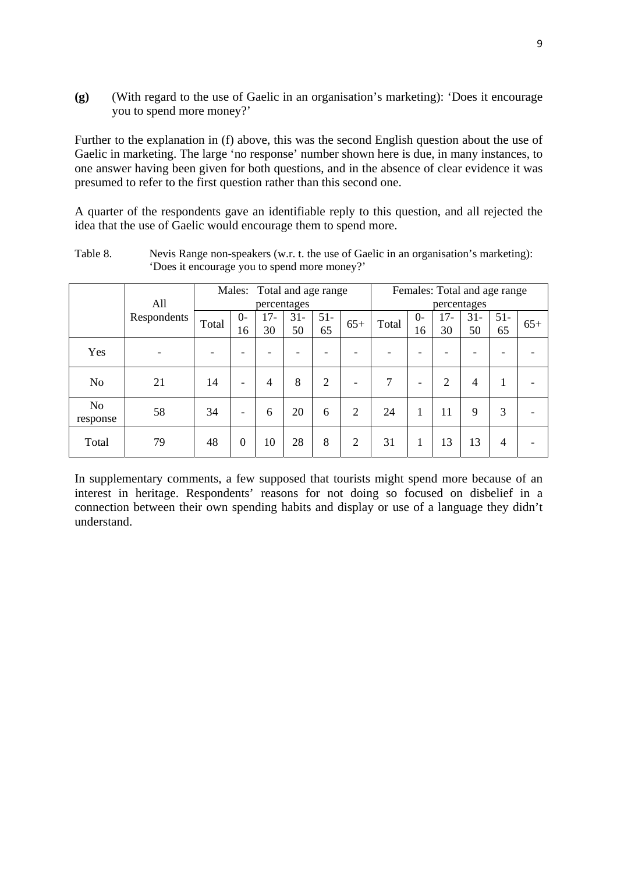**(g)** (With regard to the use of Gaelic in an organisation's marketing): 'Does it encourage you to spend more money?'

Further to the explanation in (f) above, this was the second English question about the use of Gaelic in marketing. The large 'no response' number shown here is due, in many instances, to one answer having been given for both questions, and in the absence of clear evidence it was presumed to refer to the first question rather than this second one.

A quarter of the respondents gave an identifiable reply to this question, and all rejected the idea that the use of Gaelic would encourage them to spend more.

|                            |             |       |                          |                |       | Males: Total and age range |                          | Females: Total and age range |                          |       |             |        |       |
|----------------------------|-------------|-------|--------------------------|----------------|-------|----------------------------|--------------------------|------------------------------|--------------------------|-------|-------------|--------|-------|
|                            | All         |       |                          | percentages    |       |                            |                          |                              |                          |       | percentages |        |       |
|                            | Respondents |       | $0-$                     | $17-$          | $31-$ | $51-$                      |                          | Total                        | $0-$                     | $17-$ | $31 -$      | $51 -$ |       |
|                            |             | Total | 16                       | 30             | 50    | 65                         | $65+$                    |                              | 16                       | 30    | 50          | 65     | $65+$ |
| Yes                        |             |       |                          |                |       |                            |                          |                              |                          |       |             |        |       |
| N <sub>0</sub>             | 21          | 14    | $\overline{\phantom{0}}$ | $\overline{4}$ | 8     | 2                          | $\overline{\phantom{0}}$ | 7                            | $\overline{\phantom{0}}$ | 2     | 4           |        |       |
| N <sub>o</sub><br>response | 58          | 34    | -                        | 6              | 20    | 6                          | $\overline{2}$           | 24                           | 1                        | 11    | $\mathbf Q$ | 3      |       |
| Total                      | 79          | 48    | $\boldsymbol{0}$         | 10             | 28    | 8                          | $\overline{2}$           | 31                           |                          | 13    | 13          | 4      |       |

Table 8. Nevis Range non-speakers (w.r. t. the use of Gaelic in an organisation's marketing): 'Does it encourage you to spend more money?'

In supplementary comments, a few supposed that tourists might spend more because of an interest in heritage. Respondents' reasons for not doing so focused on disbelief in a connection between their own spending habits and display or use of a language they didn't understand.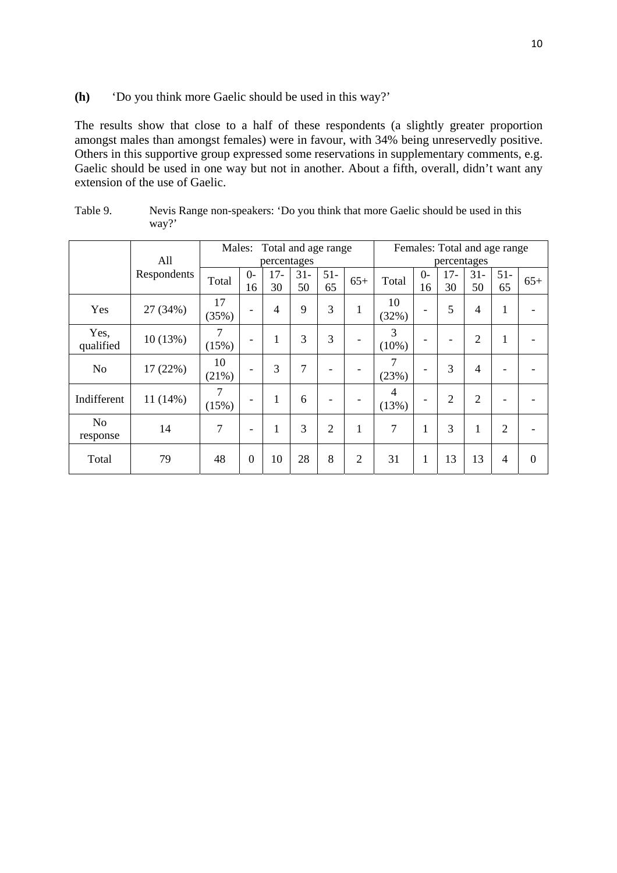**(h)** 'Do you think more Gaelic should be used in this way?'

The results show that close to a half of these respondents (a slightly greater proportion amongst males than amongst females) were in favour, with 34% being unreservedly positive. Others in this supportive group expressed some reservations in supplementary comments, e.g. Gaelic should be used in one way but not in another. About a fifth, overall, didn't want any extension of the use of Gaelic.

|                            |             |             | Total and age range<br>Males: |                |                |                |                |                         |                          |                          | Females: Total and age range |                |                |
|----------------------------|-------------|-------------|-------------------------------|----------------|----------------|----------------|----------------|-------------------------|--------------------------|--------------------------|------------------------------|----------------|----------------|
|                            | All         |             |                               | percentages    |                |                |                |                         |                          | percentages              |                              |                |                |
|                            | Respondents | Total       | $0-$<br>16                    | $17-$<br>30    | $31 -$<br>50   | $51-$<br>65    | $65+$          | Total                   | $0-$<br>16               | $17-$<br>30              | $31 -$<br>50                 | $51-$<br>65    | $65+$          |
| Yes                        | 27 (34%)    | 17<br>(35%) | ۰                             | $\overline{4}$ | 9              | 3              | 1              | 10<br>(32%)             | -                        | 5                        | 4                            | $\mathbf{1}$   |                |
| Yes,<br>qualified          | 10(13%)     | 7<br>(15%)  | $\overline{\phantom{0}}$      | 1              | 3              | 3              |                | 3<br>$(10\%)$           | -                        | $\overline{\phantom{0}}$ | $\overline{2}$               | $\mathbf{1}$   |                |
| N <sub>o</sub>             | 17 (22%)    | 10<br>(21%) | $\qquad \qquad$               | 3              | $\overline{7}$ |                |                | 7<br>(23%)              | $\overline{\phantom{0}}$ | 3                        | $\overline{4}$               | ۰              |                |
| Indifferent                | 11 (14%)    | 7<br>(15%)  | $\overline{\phantom{0}}$      | $\mathbf{1}$   | 6              |                |                | $\overline{4}$<br>(13%) | -                        | $\overline{2}$           | $\overline{2}$               |                |                |
| N <sub>o</sub><br>response | 14          | 7           | $\qquad \qquad$               | 1              | 3              | $\overline{2}$ | 1              | $\overline{7}$          | $\mathbf{1}$             | 3                        | 1                            | $\overline{2}$ |                |
| Total                      | 79          | 48          | $\overline{0}$                | 10             | 28             | 8              | $\overline{2}$ | 31                      | $\mathbf{1}$             | 13                       | 13                           | $\overline{4}$ | $\overline{0}$ |

Table 9. Nevis Range non-speakers: 'Do you think that more Gaelic should be used in this way?'